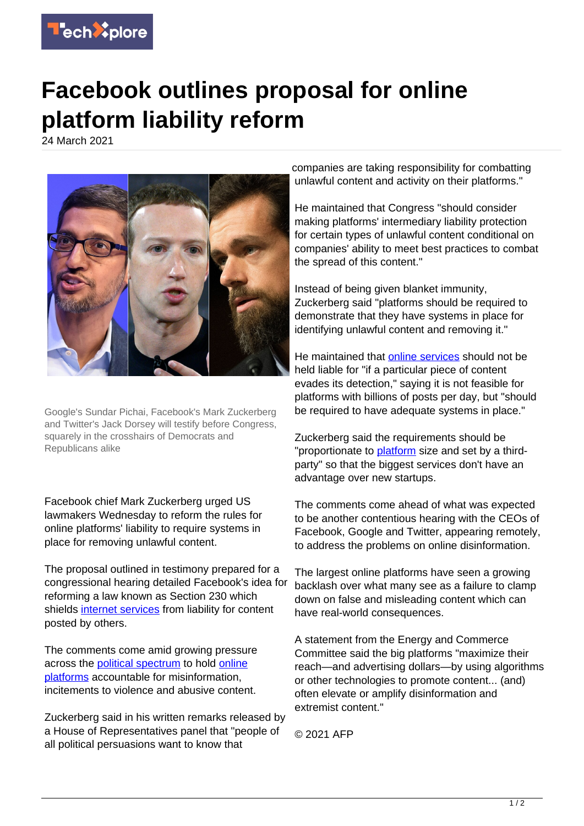

## **Facebook outlines proposal for online platform liability reform**

24 March 2021



Google's Sundar Pichai, Facebook's Mark Zuckerberg and Twitter's Jack Dorsey will testify before Congress, squarely in the crosshairs of Democrats and Republicans alike

Facebook chief Mark Zuckerberg urged US lawmakers Wednesday to reform the rules for online platforms' liability to require systems in place for removing unlawful content.

The proposal outlined in testimony prepared for a congressional hearing detailed Facebook's idea for reforming a law known as Section 230 which shields [internet services](https://techxplore.com/tags/internet+services/) from liability for content posted by others.

The comments come amid growing pressure across the **political spectrum** to hold [online](https://techxplore.com/tags/online+platforms/) [platforms](https://techxplore.com/tags/online+platforms/) accountable for misinformation, incitements to violence and abusive content.

Zuckerberg said in his written remarks released by a House of Representatives panel that "people of all political persuasions want to know that

companies are taking responsibility for combatting unlawful content and activity on their platforms."

He maintained that Congress "should consider making platforms' intermediary liability protection for certain types of unlawful content conditional on companies' ability to meet best practices to combat the spread of this content."

Instead of being given blanket immunity, Zuckerberg said "platforms should be required to demonstrate that they have systems in place for identifying unlawful content and removing it."

He maintained that [online services](https://techxplore.com/tags/online+services/) should not be held liable for "if a particular piece of content evades its detection," saying it is not feasible for platforms with billions of posts per day, but "should be required to have adequate systems in place."

Zuckerberg said the requirements should be "proportionate to [platform](https://techxplore.com/tags/platform/) size and set by a thirdparty" so that the biggest services don't have an advantage over new startups.

The comments come ahead of what was expected to be another contentious hearing with the CEOs of Facebook, Google and Twitter, appearing remotely, to address the problems on online disinformation.

The largest online platforms have seen a growing backlash over what many see as a failure to clamp down on false and misleading content which can have real-world consequences.

A statement from the Energy and Commerce Committee said the big platforms "maximize their reach—and advertising dollars—by using algorithms or other technologies to promote content... (and) often elevate or amplify disinformation and extremist content."

© 2021 AFP